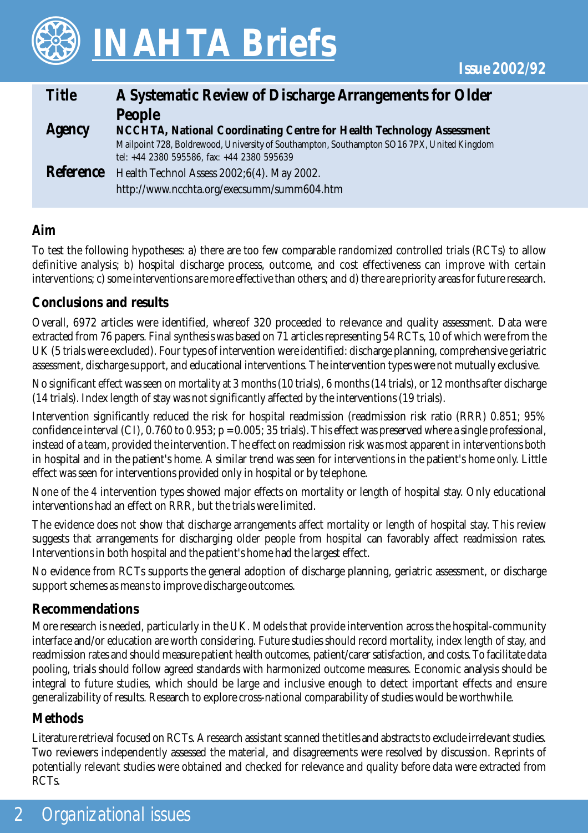

| <b>Title</b> | A Systematic Review of Discharge Arrangements for Older                                    |
|--------------|--------------------------------------------------------------------------------------------|
|              | <b>People</b>                                                                              |
| Agency       | NCCHTA, National Coordinating Centre for Health Technology Assessment                      |
|              | Mailpoint 728, Boldrewood, University of Southampton, Southampton SO16 7PX, United Kingdom |
|              | tel: +44 2380 595586, fax: +44 2380 595639                                                 |
|              | <b>Reference</b> Health Technol Assess 2002;6(4). May 2002.                                |
|              | http://www.ncchta.org/execsumm/summ604.htm                                                 |

### **Aim**

To test the following hypotheses: a) there are too few comparable randomized controlled trials (RCTs) to allow definitive analysis; b) hospital discharge process, outcome, and cost effectiveness can improve with certain interventions; c) some interventions are more effective than others; and d) there are priority areas for future research.

# **Conclusions and results**

Overall, 6972 articles were identified, whereof 320 proceeded to relevance and quality assessment. Data were extracted from 76 papers. Final synthesis was based on 71 articles representing 54 RCTs, 10 of which were from the UK (5 trials were excluded). Four types of intervention were identified: discharge planning, comprehensive geriatric assessment, discharge support, and educational interventions. The intervention types were not mutually exclusive.

No significant effect was seen on mortality at 3 months (10 trials), 6 months (14 trials), or 12 months after discharge (14 trials). Index length of stay was not significantly affected by the interventions (19 trials).

Intervention significantly reduced the risk for hospital readmission (readmission risk ratio (RRR) 0.851; 95% confidence interval (CI),  $0.760$  to  $0.953$ ;  $p = 0.005$ ; 35 trials). This effect was preserved where a single professional, instead of a team, provided the intervention. The effect on readmission risk was most apparent in interventions both in hospital and in the patient's home. A similar trend was seen for interventions in the patient's home only. Little effect was seen for interventions provided only in hospital or by telephone.

None of the 4 intervention types showed major effects on mortality or length of hospital stay. Only educational interventions had an effect on RRR, but the trials were limited.

The evidence does not show that discharge arrangements affect mortality or length of hospital stay. This review suggests that arrangements for discharging older people from hospital can favorably affect readmission rates. Interventions in both hospital and the patient's home had the largest effect.

No evidence from RCTs supports the general adoption of discharge planning, geriatric assessment, or discharge support schemes as means to improve discharge outcomes.

# **Recommendations**

More research is needed, particularly in the UK. Models that provide intervention across the hospital-community interface and/or education are worth considering. Future studies should record mortality, index length of stay, and readmission rates and should measure patient health outcomes, patient/carer satisfaction, and costs. To facilitate data pooling, trials should follow agreed standards with harmonized outcome measures. Economic analysis should be integral to future studies, which should be large and inclusive enough to detect important effects and ensure generalizability of results. Research to explore cross-national comparability of studies would be worthwhile.

# **Methods**

Literature retrieval focused on RCTs. A research assistant scanned the titles and abstracts to exclude irrelevant studies. Two reviewers independently assessed the material, and disagreements were resolved by discussion. Reprints of potentially relevant studies were obtained and checked for relevance and quality before data were extracted from RCTs.